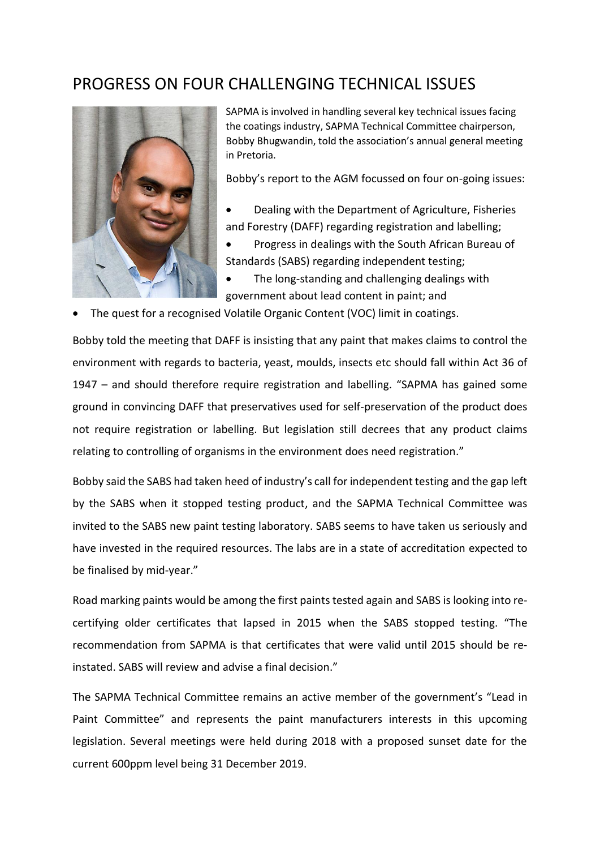## PROGRESS ON FOUR CHALLENGING TECHNICAL ISSUES



SAPMA is involved in handling several key technical issues facing the coatings industry, SAPMA Technical Committee chairperson, Bobby Bhugwandin, told the association's annual general meeting in Pretoria.

Bobby's report to the AGM focussed on four on-going issues:

- Dealing with the Department of Agriculture, Fisheries and Forestry (DAFF) regarding registration and labelling;
- Progress in dealings with the South African Bureau of Standards (SABS) regarding independent testing;
- The long-standing and challenging dealings with government about lead content in paint; and
- The quest for a recognised Volatile Organic Content (VOC) limit in coatings.

Bobby told the meeting that DAFF is insisting that any paint that makes claims to control the environment with regards to bacteria, yeast, moulds, insects etc should fall within Act 36 of 1947 – and should therefore require registration and labelling. "SAPMA has gained some ground in convincing DAFF that preservatives used for self-preservation of the product does not require registration or labelling. But legislation still decrees that any product claims relating to controlling of organisms in the environment does need registration."

Bobby said the SABS had taken heed of industry's call for independent testing and the gap left by the SABS when it stopped testing product, and the SAPMA Technical Committee was invited to the SABS new paint testing laboratory. SABS seems to have taken us seriously and have invested in the required resources. The labs are in a state of accreditation expected to be finalised by mid-year."

Road marking paints would be among the first paints tested again and SABS is looking into recertifying older certificates that lapsed in 2015 when the SABS stopped testing. "The recommendation from SAPMA is that certificates that were valid until 2015 should be reinstated. SABS will review and advise a final decision."

The SAPMA Technical Committee remains an active member of the government's "Lead in Paint Committee" and represents the paint manufacturers interests in this upcoming legislation. Several meetings were held during 2018 with a proposed sunset date for the current 600ppm level being 31 December 2019.